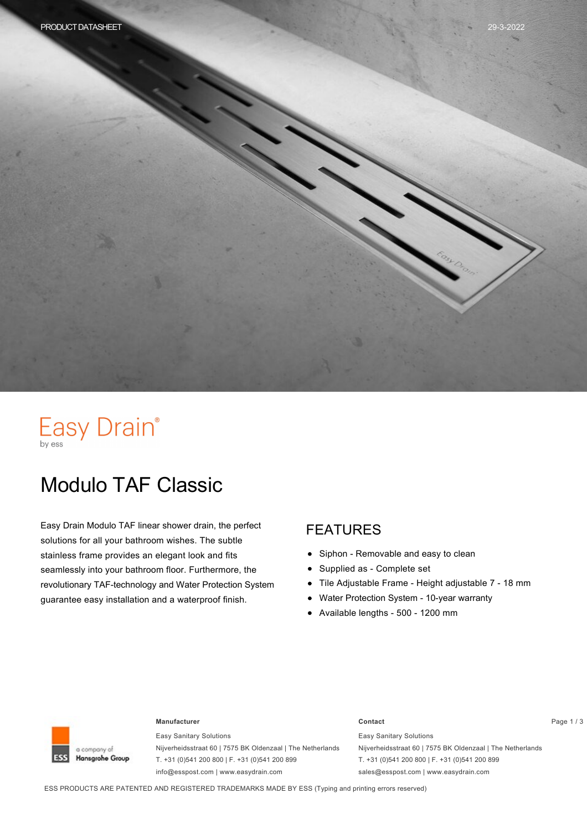# Easy Drain®

# Modulo TAF Classic

Easy Drain Modulo TAF linear shower drain, the perfect solutions for all your bathroom wishes. The subtle stainless frame provides an elegant look and fits seamlessly into your bathroom floor. Furthermore, the revolutionary TAF-technology and Water Protection System guarantee easy installation and a waterproof finish.

#### FEATURES

- $\bullet$ Siphon - Removable and easy to clean
- Supplied as Complete set  $\bullet$
- Tile Adjustable Frame Height adjustable 7 18 mm  $\bullet$
- Water Protection System 10-year warranty  $\bullet$
- $\bullet$  Available lengths 500 1200 mm



#### **Manufacturer Contact** Page 1 / 3

Easy Sanitary Solutions Nijverheidsstraat 60 | 7575 BK Oldenzaal | The Netherlands T. +31 (0)541 200 800 | F. +31 (0)541 200 899 info@esspost.com | www.easydrain.com

Easy Sanitary Solutions Nijverheidsstraat 60 | 7575 BK Oldenzaal | The Netherlands T. +31 (0)541 200 800 | F. +31 (0)541 200 899 sales@esspost.com | www.easydrain.com

ESS PRODUCTS ARE PATENTED AND REGISTERED TRADEMARKS MADE BY ESS (Typing and printing errors reserved)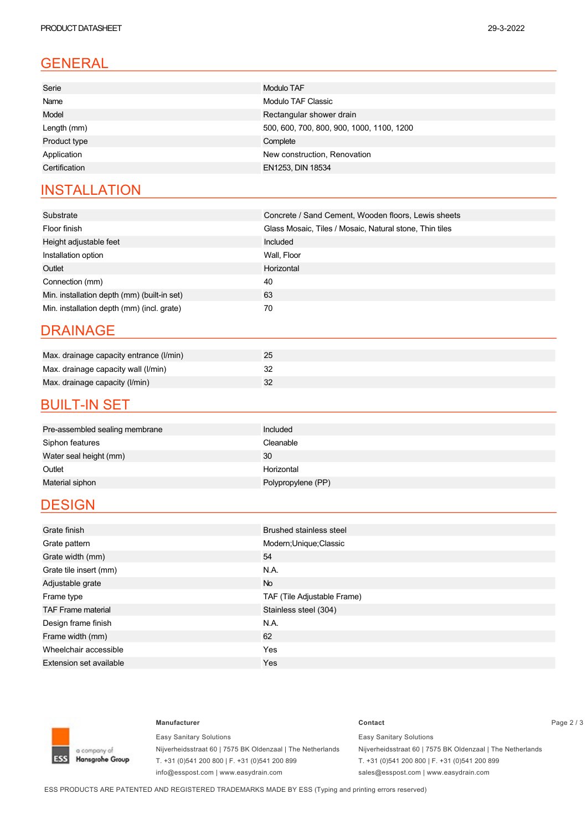| Serie<br><b>Modulo TAF</b>                               |
|----------------------------------------------------------|
| Name<br>Modulo TAF Classic                               |
| Model<br>Rectangular shower drain                        |
| 500, 600, 700, 800, 900, 1000, 1100, 1200<br>Length (mm) |
| Product type<br>Complete                                 |
| New construction, Renovation<br>Application              |
| EN1253, DIN 18534<br>Certification                       |

### **INSTALLATION**

| Substrate                                   | Concrete / Sand Cement, Wooden floors, Lewis sheets     |
|---------------------------------------------|---------------------------------------------------------|
| Floor finish                                | Glass Mosaic, Tiles / Mosaic, Natural stone, Thin tiles |
| Height adjustable feet                      | Included                                                |
| Installation option                         | Wall, Floor                                             |
| Outlet                                      | Horizontal                                              |
| Connection (mm)                             | 40                                                      |
| Min. installation depth (mm) (built-in set) | 63                                                      |
| Min. installation depth (mm) (incl. grate)  | 70                                                      |

#### DRAINAGE

| Max. drainage capacity entrance (I/min) | 25 |
|-----------------------------------------|----|
| Max. drainage capacity wall (I/min)     |    |
| Max. drainage capacity (I/min)          |    |

#### **BUILT-IN SET**

| Pre-assembled sealing membrane | Included           |
|--------------------------------|--------------------|
| Siphon features                | Cleanable          |
| Water seal height (mm)         | 30                 |
| Outlet                         | Horizontal         |
| Material siphon                | Polypropylene (PP) |
|                                |                    |

### **DESIGN**

| Grate finish                   | <b>Brushed stainless steel</b> |
|--------------------------------|--------------------------------|
| Grate pattern                  | Modern; Unique; Classic        |
| Grate width (mm)               | 54                             |
| Grate tile insert (mm)         | N.A.                           |
| Adjustable grate               | <b>No</b>                      |
| Frame type                     | TAF (Tile Adjustable Frame)    |
| <b>TAF Frame material</b>      | Stainless steel (304)          |
| Design frame finish            | N.A.                           |
| Frame width (mm)               | 62                             |
| Wheelchair accessible          | Yes                            |
| <b>Extension set available</b> | Yes                            |



Easy Sanitary Solutions Nijverheidsstraat 60 | 7575 BK Oldenzaal | The Netherlands T. +31 (0)541 200 800 | F. +31 (0)541 200 899 info@esspost.com | www.easydrain.com

#### **Manufacturer Contact** Page 2 / 3

Easy Sanitary Solutions Nijverheidsstraat 60 | 7575 BK Oldenzaal | The Netherlands T. +31 (0)541 200 800 | F. +31 (0)541 200 899 sales@esspost.com | www.easydrain.com

ESS PRODUCTS ARE PATENTED AND REGISTERED TRADEMARKS MADE BY ESS (Typing and printing errors reserved)